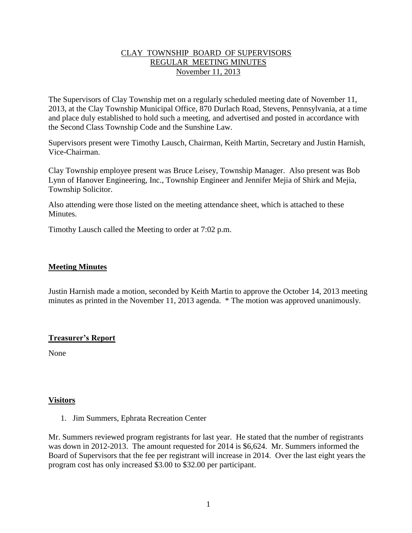# CLAY TOWNSHIP BOARD OF SUPERVISORS REGULAR MEETING MINUTES November 11, 2013

The Supervisors of Clay Township met on a regularly scheduled meeting date of November 11, 2013, at the Clay Township Municipal Office, 870 Durlach Road, Stevens, Pennsylvania, at a time and place duly established to hold such a meeting, and advertised and posted in accordance with the Second Class Township Code and the Sunshine Law.

Supervisors present were Timothy Lausch, Chairman, Keith Martin, Secretary and Justin Harnish, Vice-Chairman.

Clay Township employee present was Bruce Leisey, Township Manager. Also present was Bob Lynn of Hanover Engineering, Inc., Township Engineer and Jennifer Mejia of Shirk and Mejia, Township Solicitor.

Also attending were those listed on the meeting attendance sheet, which is attached to these **Minutes** 

Timothy Lausch called the Meeting to order at 7:02 p.m.

# **Meeting Minutes**

Justin Harnish made a motion, seconded by Keith Martin to approve the October 14, 2013 meeting minutes as printed in the November 11, 2013 agenda. \* The motion was approved unanimously.

# **Treasurer's Report**

None

# **Visitors**

1. Jim Summers, Ephrata Recreation Center

Mr. Summers reviewed program registrants for last year. He stated that the number of registrants was down in 2012-2013. The amount requested for 2014 is \$6,624. Mr. Summers informed the Board of Supervisors that the fee per registrant will increase in 2014. Over the last eight years the program cost has only increased \$3.00 to \$32.00 per participant.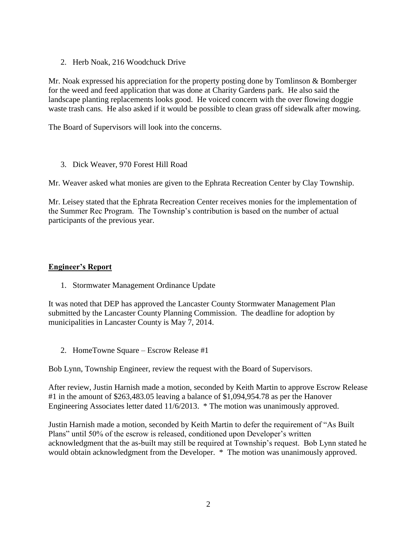2. Herb Noak, 216 Woodchuck Drive

Mr. Noak expressed his appreciation for the property posting done by Tomlinson & Bomberger for the weed and feed application that was done at Charity Gardens park. He also said the landscape planting replacements looks good. He voiced concern with the over flowing doggie waste trash cans. He also asked if it would be possible to clean grass off sidewalk after mowing.

The Board of Supervisors will look into the concerns.

3. Dick Weaver, 970 Forest Hill Road

Mr. Weaver asked what monies are given to the Ephrata Recreation Center by Clay Township.

Mr. Leisey stated that the Ephrata Recreation Center receives monies for the implementation of the Summer Rec Program. The Township's contribution is based on the number of actual participants of the previous year.

# **Engineer's Report**

1. Stormwater Management Ordinance Update

It was noted that DEP has approved the Lancaster County Stormwater Management Plan submitted by the Lancaster County Planning Commission. The deadline for adoption by municipalities in Lancaster County is May 7, 2014.

2. HomeTowne Square – Escrow Release #1

Bob Lynn, Township Engineer, review the request with the Board of Supervisors.

After review, Justin Harnish made a motion, seconded by Keith Martin to approve Escrow Release #1 in the amount of \$263,483.05 leaving a balance of \$1,094,954.78 as per the Hanover Engineering Associates letter dated 11/6/2013. \* The motion was unanimously approved.

Justin Harnish made a motion, seconded by Keith Martin to defer the requirement of "As Built Plans" until 50% of the escrow is released, conditioned upon Developer's written acknowledgment that the as-built may still be required at Township's request. Bob Lynn stated he would obtain acknowledgment from the Developer. \* The motion was unanimously approved.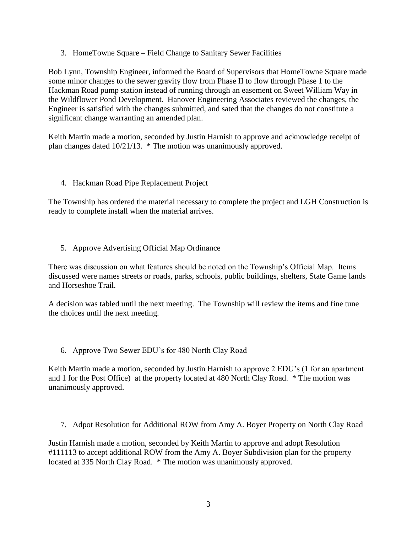3. HomeTowne Square – Field Change to Sanitary Sewer Facilities

Bob Lynn, Township Engineer, informed the Board of Supervisors that HomeTowne Square made some minor changes to the sewer gravity flow from Phase II to flow through Phase 1 to the Hackman Road pump station instead of running through an easement on Sweet William Way in the Wildflower Pond Development. Hanover Engineering Associates reviewed the changes, the Engineer is satisfied with the changes submitted, and sated that the changes do not constitute a significant change warranting an amended plan.

Keith Martin made a motion, seconded by Justin Harnish to approve and acknowledge receipt of plan changes dated 10/21/13. \* The motion was unanimously approved.

# 4. Hackman Road Pipe Replacement Project

The Township has ordered the material necessary to complete the project and LGH Construction is ready to complete install when the material arrives.

5. Approve Advertising Official Map Ordinance

There was discussion on what features should be noted on the Township's Official Map. Items discussed were names streets or roads, parks, schools, public buildings, shelters, State Game lands and Horseshoe Trail.

A decision was tabled until the next meeting. The Township will review the items and fine tune the choices until the next meeting.

6. Approve Two Sewer EDU's for 480 North Clay Road

Keith Martin made a motion, seconded by Justin Harnish to approve 2 EDU's (1 for an apartment and 1 for the Post Office) at the property located at 480 North Clay Road. \* The motion was unanimously approved.

7. Adpot Resolution for Additional ROW from Amy A. Boyer Property on North Clay Road

Justin Harnish made a motion, seconded by Keith Martin to approve and adopt Resolution #111113 to accept additional ROW from the Amy A. Boyer Subdivision plan for the property located at 335 North Clay Road. \* The motion was unanimously approved.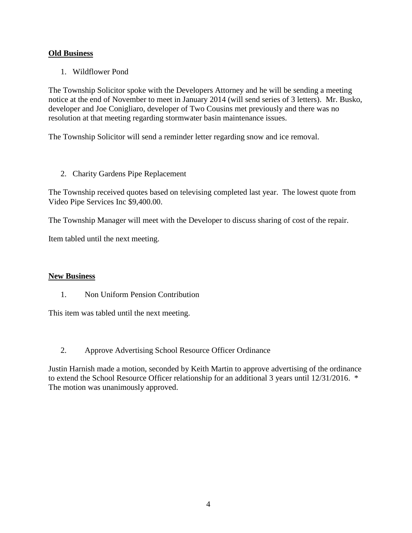# **Old Business**

1. Wildflower Pond

The Township Solicitor spoke with the Developers Attorney and he will be sending a meeting notice at the end of November to meet in January 2014 (will send series of 3 letters). Mr. Busko, developer and Joe Conigliaro, developer of Two Cousins met previously and there was no resolution at that meeting regarding stormwater basin maintenance issues.

The Township Solicitor will send a reminder letter regarding snow and ice removal.

2. Charity Gardens Pipe Replacement

The Township received quotes based on televising completed last year. The lowest quote from Video Pipe Services Inc \$9,400.00.

The Township Manager will meet with the Developer to discuss sharing of cost of the repair.

Item tabled until the next meeting.

# **New Business**

1. Non Uniform Pension Contribution

This item was tabled until the next meeting.

2. Approve Advertising School Resource Officer Ordinance

Justin Harnish made a motion, seconded by Keith Martin to approve advertising of the ordinance to extend the School Resource Officer relationship for an additional 3 years until 12/31/2016. \* The motion was unanimously approved.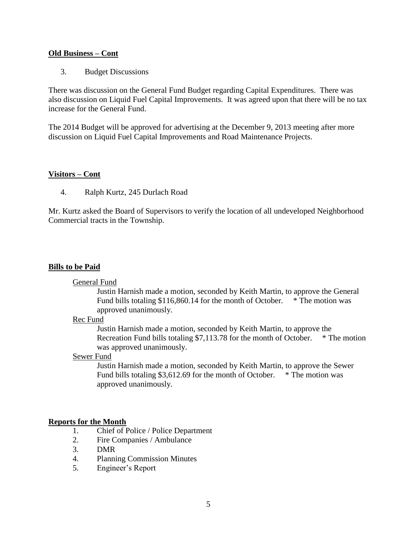### **Old Business – Cont**

3. Budget Discussions

There was discussion on the General Fund Budget regarding Capital Expenditures. There was also discussion on Liquid Fuel Capital Improvements. It was agreed upon that there will be no tax increase for the General Fund.

The 2014 Budget will be approved for advertising at the December 9, 2013 meeting after more discussion on Liquid Fuel Capital Improvements and Road Maintenance Projects.

# **Visitors – Cont**

4. Ralph Kurtz, 245 Durlach Road

Mr. Kurtz asked the Board of Supervisors to verify the location of all undeveloped Neighborhood Commercial tracts in the Township.

# **Bills to be Paid**

# General Fund

Justin Harnish made a motion, seconded by Keith Martin, to approve the General Fund bills totaling \$116,860.14 for the month of October. \* The motion was approved unanimously.

#### Rec Fund

Justin Harnish made a motion, seconded by Keith Martin, to approve the Recreation Fund bills totaling \$7,113.78 for the month of October. \* The motion was approved unanimously.

#### Sewer Fund

Justin Harnish made a motion, seconded by Keith Martin, to approve the Sewer Fund bills totaling \$3,612.69 for the month of October. \* The motion was approved unanimously.

# **Reports for the Month**

- 1. Chief of Police / Police Department
- 2. Fire Companies / Ambulance
- 3. DMR
- 4. Planning Commission Minutes
- 5. Engineer's Report